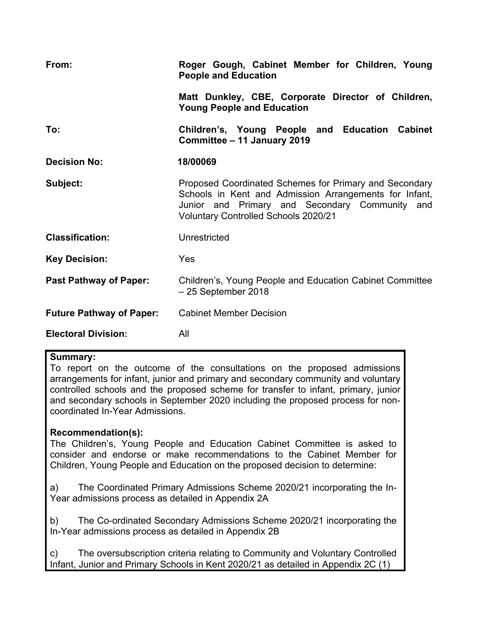| From:                           | Roger Gough, Cabinet Member for Children, Young<br><b>People and Education</b>                                                                                                                                    |  |  |
|---------------------------------|-------------------------------------------------------------------------------------------------------------------------------------------------------------------------------------------------------------------|--|--|
|                                 | Matt Dunkley, CBE, Corporate Director of Children,<br><b>Young People and Education</b>                                                                                                                           |  |  |
| To:                             | Children's, Young People and Education Cabinet<br>Committee - 11 January 2019                                                                                                                                     |  |  |
| <b>Decision No:</b>             | 18/00069                                                                                                                                                                                                          |  |  |
| Subject:                        | Proposed Coordinated Schemes for Primary and Secondary<br>Schools in Kent and Admission Arrangements for Infant,<br>Junior and Primary and Secondary Community and<br><b>Voluntary Controlled Schools 2020/21</b> |  |  |
| <b>Classification:</b>          | Unrestricted                                                                                                                                                                                                      |  |  |
| <b>Key Decision:</b>            | Yes                                                                                                                                                                                                               |  |  |
| <b>Past Pathway of Paper:</b>   | Children's, Young People and Education Cabinet Committee<br>$-25$ September 2018                                                                                                                                  |  |  |
| <b>Future Pathway of Paper:</b> | <b>Cabinet Member Decision</b>                                                                                                                                                                                    |  |  |
| <b>Electoral Division:</b>      | All                                                                                                                                                                                                               |  |  |

#### **Summary:**

To report on the outcome of the consultations on the proposed admissions arrangements for infant, junior and primary and secondary community and voluntary controlled schools and the proposed scheme for transfer to infant, primary, junior and secondary schools in September 2020 including the proposed process for noncoordinated In-Year Admissions.

# **Recommendation(s):**

The Children's, Young People and Education Cabinet Committee is asked to consider and endorse or make recommendations to the Cabinet Member for Children, Young People and Education on the proposed decision to determine:

a) The Coordinated Primary Admissions Scheme 2020/21 incorporating the In-Year admissions process as detailed in Appendix 2A

b) The Co-ordinated Secondary Admissions Scheme 2020/21 incorporating the In-Year admissions process as detailed in Appendix 2B

c) The oversubscription criteria relating to Community and Voluntary Controlled Infant, Junior and Primary Schools in Kent 2020/21 as detailed in Appendix 2C (1)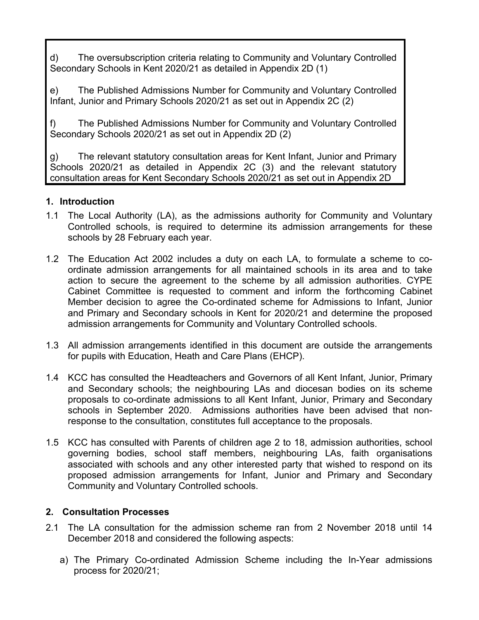d) The oversubscription criteria relating to Community and Voluntary Controlled Secondary Schools in Kent 2020/21 as detailed in Appendix 2D (1)

e) The Published Admissions Number for Community and Voluntary Controlled Infant, Junior and Primary Schools 2020/21 as set out in Appendix 2C (2)

f) The Published Admissions Number for Community and Voluntary Controlled Secondary Schools 2020/21 as set out in Appendix 2D (2)

g) The relevant statutory consultation areas for Kent Infant, Junior and Primary Schools 2020/21 as detailed in Appendix 2C (3) and the relevant statutory consultation areas for Kent Secondary Schools 2020/21 as set out in Appendix 2D

# **1. Introduction**

- 1.1 The Local Authority (LA), as the admissions authority for Community and Voluntary Controlled schools, is required to determine its admission arrangements for these schools by 28 February each year.
- 1.2 The Education Act 2002 includes a duty on each LA, to formulate a scheme to coordinate admission arrangements for all maintained schools in its area and to take action to secure the agreement to the scheme by all admission authorities. CYPE Cabinet Committee is requested to comment and inform the forthcoming Cabinet Member decision to agree the Co-ordinated scheme for Admissions to Infant, Junior and Primary and Secondary schools in Kent for 2020/21 and determine the proposed admission arrangements for Community and Voluntary Controlled schools.
- 1.3 All admission arrangements identified in this document are outside the arrangements for pupils with Education, Heath and Care Plans (EHCP).
- 1.4 KCC has consulted the Headteachers and Governors of all Kent Infant, Junior, Primary and Secondary schools; the neighbouring LAs and diocesan bodies on its scheme proposals to co-ordinate admissions to all Kent Infant, Junior, Primary and Secondary schools in September 2020. Admissions authorities have been advised that nonresponse to the consultation, constitutes full acceptance to the proposals.
- 1.5 KCC has consulted with Parents of children age 2 to 18, admission authorities, school governing bodies, school staff members, neighbouring LAs, faith organisations associated with schools and any other interested party that wished to respond on its proposed admission arrangements for Infant, Junior and Primary and Secondary Community and Voluntary Controlled schools.

# **2. Consultation Processes**

- 2.1 The LA consultation for the admission scheme ran from 2 November 2018 until 14 December 2018 and considered the following aspects:
	- a) The Primary Co-ordinated Admission Scheme including the In-Year admissions process for 2020/21;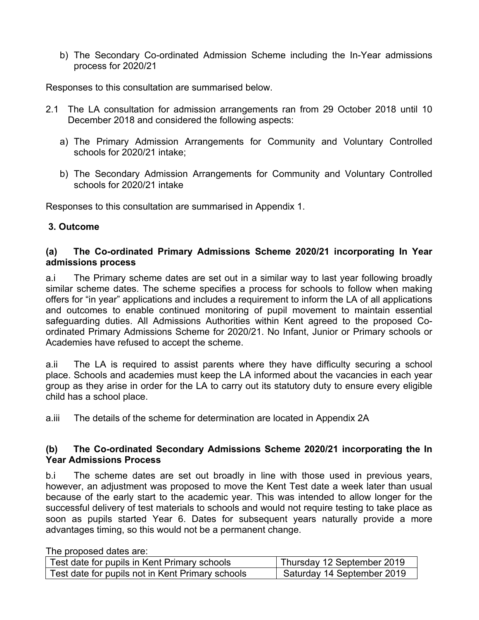b) The Secondary Co-ordinated Admission Scheme including the In-Year admissions process for 2020/21

Responses to this consultation are summarised below.

- 2.1 The LA consultation for admission arrangements ran from 29 October 2018 until 10 December 2018 and considered the following aspects:
	- a) The Primary Admission Arrangements for Community and Voluntary Controlled schools for 2020/21 intake;
	- b) The Secondary Admission Arrangements for Community and Voluntary Controlled schools for 2020/21 intake

Responses to this consultation are summarised in Appendix 1.

### **3. Outcome**

#### **(a) The Co-ordinated Primary Admissions Scheme 2020/21 incorporating In Year admissions process**

a.i The Primary scheme dates are set out in a similar way to last year following broadly similar scheme dates. The scheme specifies a process for schools to follow when making offers for "in year" applications and includes a requirement to inform the LA of all applications and outcomes to enable continued monitoring of pupil movement to maintain essential safeguarding duties. All Admissions Authorities within Kent agreed to the proposed Coordinated Primary Admissions Scheme for 2020/21. No Infant, Junior or Primary schools or Academies have refused to accept the scheme.

a.ii The LA is required to assist parents where they have difficulty securing a school place. Schools and academies must keep the LA informed about the vacancies in each year group as they arise in order for the LA to carry out its statutory duty to ensure every eligible child has a school place.

a.iii The details of the scheme for determination are located in Appendix 2A

#### **(b) The Co-ordinated Secondary Admissions Scheme 2020/21 incorporating the In Year Admissions Process**

b.i The scheme dates are set out broadly in line with those used in previous years, however, an adjustment was proposed to move the Kent Test date a week later than usual because of the early start to the academic year. This was intended to allow longer for the successful delivery of test materials to schools and would not require testing to take place as soon as pupils started Year 6. Dates for subsequent years naturally provide a more advantages timing, so this would not be a permanent change.

| Test date for pupils in Kent Primary schools     | Thursday 12 September 2019 |
|--------------------------------------------------|----------------------------|
| Test date for pupils not in Kent Primary schools | Saturday 14 September 2019 |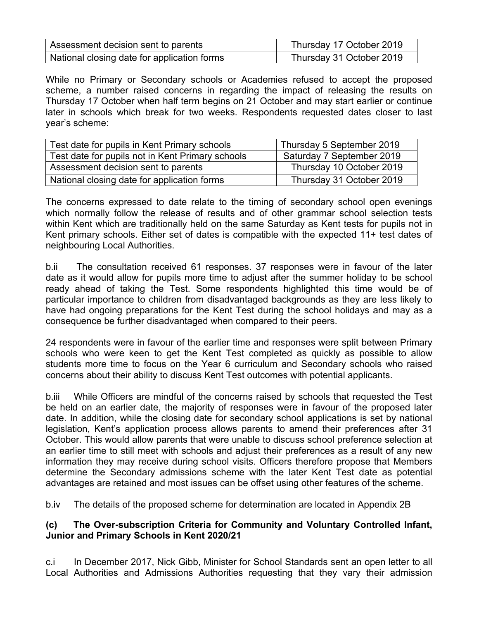| Assessment decision sent to parents         | Thursday 17 October 2019 |
|---------------------------------------------|--------------------------|
| National closing date for application forms | Thursday 31 October 2019 |

While no Primary or Secondary schools or Academies refused to accept the proposed scheme, a number raised concerns in regarding the impact of releasing the results on Thursday 17 October when half term begins on 21 October and may start earlier or continue later in schools which break for two weeks. Respondents requested dates closer to last year's scheme:

| Test date for pupils in Kent Primary schools     | Thursday 5 September 2019 |
|--------------------------------------------------|---------------------------|
| Test date for pupils not in Kent Primary schools | Saturday 7 September 2019 |
| Assessment decision sent to parents              | Thursday 10 October 2019  |
| National closing date for application forms      | Thursday 31 October 2019  |

The concerns expressed to date relate to the timing of secondary school open evenings which normally follow the release of results and of other grammar school selection tests within Kent which are traditionally held on the same Saturday as Kent tests for pupils not in Kent primary schools. Either set of dates is compatible with the expected 11+ test dates of neighbouring Local Authorities.

b.ii The consultation received 61 responses. 37 responses were in favour of the later date as it would allow for pupils more time to adjust after the summer holiday to be school ready ahead of taking the Test. Some respondents highlighted this time would be of particular importance to children from disadvantaged backgrounds as they are less likely to have had ongoing preparations for the Kent Test during the school holidays and may as a consequence be further disadvantaged when compared to their peers.

24 respondents were in favour of the earlier time and responses were split between Primary schools who were keen to get the Kent Test completed as quickly as possible to allow students more time to focus on the Year 6 curriculum and Secondary schools who raised concerns about their ability to discuss Kent Test outcomes with potential applicants.

b.iii While Officers are mindful of the concerns raised by schools that requested the Test be held on an earlier date, the majority of responses were in favour of the proposed later date. In addition, while the closing date for secondary school applications is set by national legislation, Kent's application process allows parents to amend their preferences after 31 October. This would allow parents that were unable to discuss school preference selection at an earlier time to still meet with schools and adjust their preferences as a result of any new information they may receive during school visits. Officers therefore propose that Members determine the Secondary admissions scheme with the later Kent Test date as potential advantages are retained and most issues can be offset using other features of the scheme.

b.iv The details of the proposed scheme for determination are located in Appendix 2B

# **(c) The Over-subscription Criteria for Community and Voluntary Controlled Infant, Junior and Primary Schools in Kent 2020/21**

c.i In December 2017, Nick Gibb, Minister for School Standards sent an open letter to all Local Authorities and Admissions Authorities requesting that they vary their admission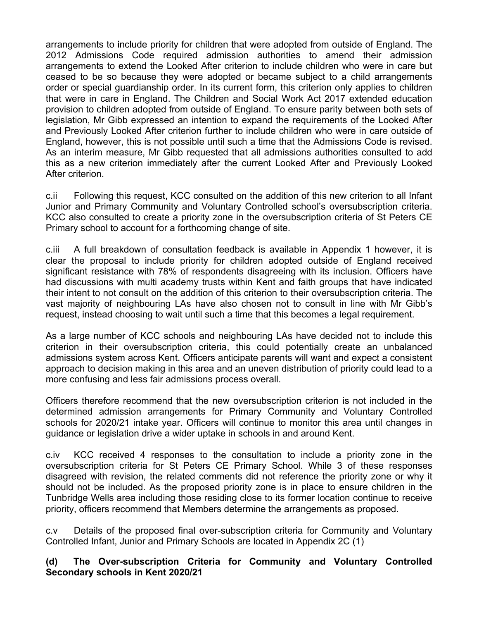arrangements to include priority for children that were adopted from outside of England. The 2012 Admissions Code required admission authorities to amend their admission arrangements to extend the Looked After criterion to include children who were in care but ceased to be so because they were adopted or became subject to a child arrangements order or special guardianship order. In its current form, this criterion only applies to children that were in care in England. The Children and Social Work Act 2017 extended education provision to children adopted from outside of England. To ensure parity between both sets of legislation, Mr Gibb expressed an intention to expand the requirements of the Looked After and Previously Looked After criterion further to include children who were in care outside of England, however, this is not possible until such a time that the Admissions Code is revised. As an interim measure, Mr Gibb requested that all admissions authorities consulted to add this as a new criterion immediately after the current Looked After and Previously Looked After criterion.

c.ii Following this request, KCC consulted on the addition of this new criterion to all Infant Junior and Primary Community and Voluntary Controlled school's oversubscription criteria. KCC also consulted to create a priority zone in the oversubscription criteria of St Peters CE Primary school to account for a forthcoming change of site.

c.iii A full breakdown of consultation feedback is available in Appendix 1 however, it is clear the proposal to include priority for children adopted outside of England received significant resistance with 78% of respondents disagreeing with its inclusion. Officers have had discussions with multi academy trusts within Kent and faith groups that have indicated their intent to not consult on the addition of this criterion to their oversubscription criteria. The vast majority of neighbouring LAs have also chosen not to consult in line with Mr Gibb's request, instead choosing to wait until such a time that this becomes a legal requirement.

As a large number of KCC schools and neighbouring LAs have decided not to include this criterion in their oversubscription criteria, this could potentially create an unbalanced admissions system across Kent. Officers anticipate parents will want and expect a consistent approach to decision making in this area and an uneven distribution of priority could lead to a more confusing and less fair admissions process overall.

Officers therefore recommend that the new oversubscription criterion is not included in the determined admission arrangements for Primary Community and Voluntary Controlled schools for 2020/21 intake year. Officers will continue to monitor this area until changes in guidance or legislation drive a wider uptake in schools in and around Kent.

c.iv KCC received 4 responses to the consultation to include a priority zone in the oversubscription criteria for St Peters CE Primary School. While 3 of these responses disagreed with revision, the related comments did not reference the priority zone or why it should not be included. As the proposed priority zone is in place to ensure children in the Tunbridge Wells area including those residing close to its former location continue to receive priority, officers recommend that Members determine the arrangements as proposed.

c.v Details of the proposed final over-subscription criteria for Community and Voluntary Controlled Infant, Junior and Primary Schools are located in Appendix 2C (1)

### **(d) The Over-subscription Criteria for Community and Voluntary Controlled Secondary schools in Kent 2020/21**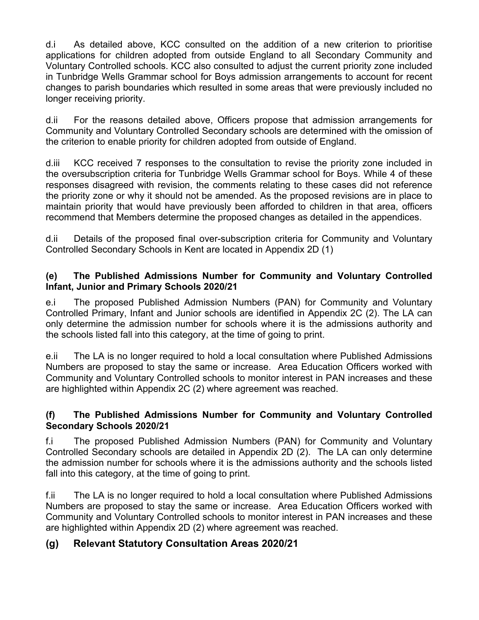d.i As detailed above, KCC consulted on the addition of a new criterion to prioritise applications for children adopted from outside England to all Secondary Community and Voluntary Controlled schools. KCC also consulted to adjust the current priority zone included in Tunbridge Wells Grammar school for Boys admission arrangements to account for recent changes to parish boundaries which resulted in some areas that were previously included no longer receiving priority.

d.ii For the reasons detailed above, Officers propose that admission arrangements for Community and Voluntary Controlled Secondary schools are determined with the omission of the criterion to enable priority for children adopted from outside of England.

d.iii KCC received 7 responses to the consultation to revise the priority zone included in the oversubscription criteria for Tunbridge Wells Grammar school for Boys. While 4 of these responses disagreed with revision, the comments relating to these cases did not reference the priority zone or why it should not be amended. As the proposed revisions are in place to maintain priority that would have previously been afforded to children in that area, officers recommend that Members determine the proposed changes as detailed in the appendices.

d.ii Details of the proposed final over-subscription criteria for Community and Voluntary Controlled Secondary Schools in Kent are located in Appendix 2D (1)

## **(e) The Published Admissions Number for Community and Voluntary Controlled Infant, Junior and Primary Schools 2020/21**

e.i The proposed Published Admission Numbers (PAN) for Community and Voluntary Controlled Primary, Infant and Junior schools are identified in Appendix 2C (2). The LA can only determine the admission number for schools where it is the admissions authority and the schools listed fall into this category, at the time of going to print.

e.ii The LA is no longer required to hold a local consultation where Published Admissions Numbers are proposed to stay the same or increase. Area Education Officers worked with Community and Voluntary Controlled schools to monitor interest in PAN increases and these are highlighted within Appendix 2C (2) where agreement was reached.

# **(f) The Published Admissions Number for Community and Voluntary Controlled Secondary Schools 2020/21**

f.i The proposed Published Admission Numbers (PAN) for Community and Voluntary Controlled Secondary schools are detailed in Appendix 2D (2). The LA can only determine the admission number for schools where it is the admissions authority and the schools listed fall into this category, at the time of going to print.

f.ii The LA is no longer required to hold a local consultation where Published Admissions Numbers are proposed to stay the same or increase. Area Education Officers worked with Community and Voluntary Controlled schools to monitor interest in PAN increases and these are highlighted within Appendix 2D (2) where agreement was reached.

# **(g) Relevant Statutory Consultation Areas 2020/21**